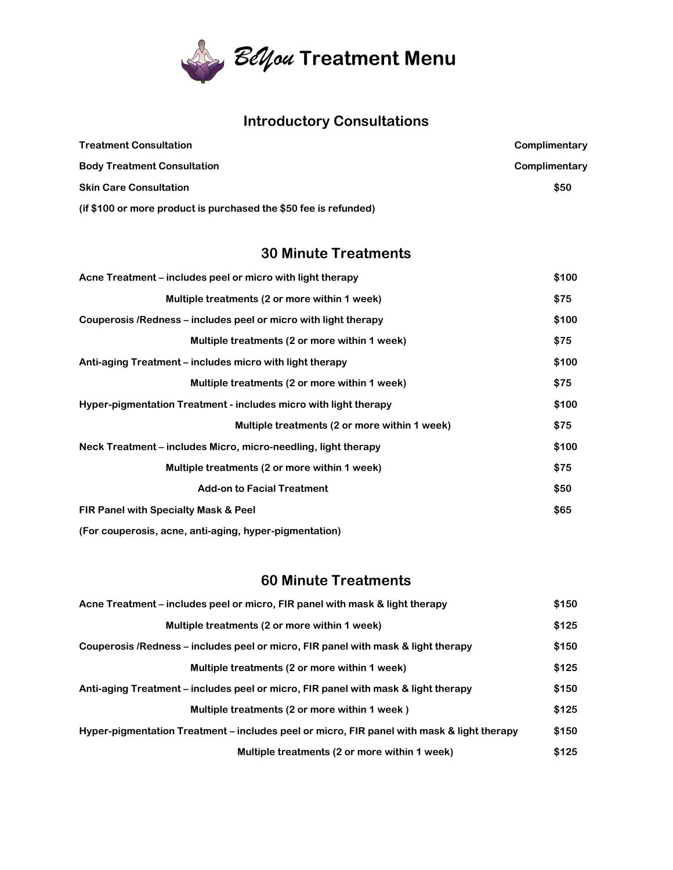

# **Introductory Consultations**

| <b>Treatment Consultation</b>                                    | Complimentary |
|------------------------------------------------------------------|---------------|
| <b>Body Treatment Consultation</b>                               | Complimentary |
| <b>Skin Care Consultation</b>                                    | \$50          |
| (if \$100 or more product is purchased the \$50 fee is refunded) |               |

## **30 Minute Treatments**

| Acne Treatment – includes peel or micro with light therapy       |       |
|------------------------------------------------------------------|-------|
| Multiple treatments (2 or more within 1 week)                    | \$75  |
| Couperosis / Redness – includes peel or micro with light therapy |       |
| Multiple treatments (2 or more within 1 week)                    | \$75  |
| Anti-aging Treatment – includes micro with light therapy         |       |
| Multiple treatments (2 or more within 1 week)                    | \$75  |
| Hyper-pigmentation Treatment - includes micro with light therapy | \$100 |
| Multiple treatments (2 or more within 1 week)                    | \$75  |
| Neck Treatment – includes Micro, micro-needling, light therapy   |       |
| Multiple treatments (2 or more within 1 week)                    | \$75  |
| <b>Add-on to Facial Treatment</b>                                | \$50  |
| <b>FIR Panel with Specialty Mask &amp; Peel</b>                  | \$65  |
| (For couperosis, acne, anti-aging, hyper-pigmentation)           |       |

### **60 Minute Treatments**

| Acne Treatment – includes peel or micro, FIR panel with mask & light therapy               |       |
|--------------------------------------------------------------------------------------------|-------|
| Multiple treatments (2 or more within 1 week)                                              | \$125 |
| Couperosis /Redness – includes peel or micro, FIR panel with mask & light therapy          |       |
| Multiple treatments (2 or more within 1 week)                                              | \$125 |
| Anti-aging Treatment – includes peel or micro, FIR panel with mask & light therapy         |       |
| Multiple treatments (2 or more within 1 week)                                              | \$125 |
| Hyper-pigmentation Treatment – includes peel or micro, FIR panel with mask & light therapy |       |
| Multiple treatments (2 or more within 1 week)                                              | \$125 |